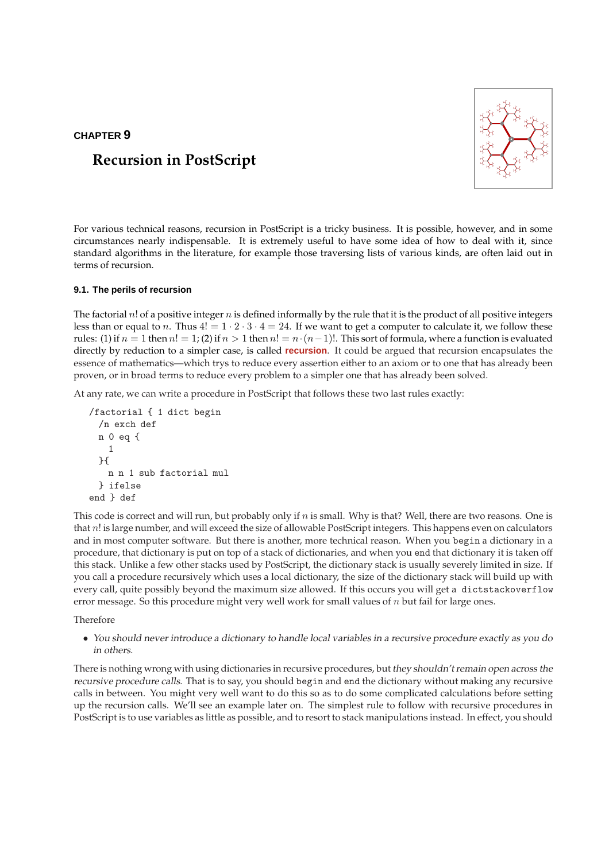# **CHAPTER 9**



# **Recursion in PostScript**

For various technical reasons, recursion in PostScript is a tricky business. It is possible, however, and in some circumstances nearly indispensable. It is extremely useful to have some idea of how to deal with it, since standard algorithms in the literature, for example those traversing lists of various kinds, are often laid out in terms of recursion.

## **9.1. The perils of recursion**

The factorial  $n!$  of a positive integer  $n$  is defined informally by the rule that it is the product of all positive integers less than or equal to n. Thus  $4! = 1 \cdot 2 \cdot 3 \cdot 4 = 24$ . If we want to get a computer to calculate it, we follow these rules: (1) if  $n = 1$  then  $n! = 1$ ; (2) if  $n > 1$  then  $n! = n \cdot (n-1)!$ . This sort of formula, where a function is evaluated directly by reduction to a simpler case, is called **recursion**. It could be argued that recursion encapsulates the essence of mathematics—which trys to reduce every assertion either to an axiom or to one that has already been proven, or in broad terms to reduce every problem to a simpler one that has already been solved.

At any rate, we can write a procedure in PostScript that follows these two last rules exactly:

```
/factorial { 1 dict begin
 /n exch def
 n 0 eq {
   1
 }{
   n n 1 sub factorial mul
 } ifelse
end } def
```
This code is correct and will run, but probably only if n is small. Why is that? Well, there are two reasons. One is that n! is large number, and will exceed the size of allowable PostScript integers. This happens even on calculators and in most computer software. But there is another, more technical reason. When you begin a dictionary in a procedure, that dictionary is put on top of a stack of dictionaries, and when you end that dictionary it is taken off this stack. Unlike a few other stacks used by PostScript, the dictionary stack is usually severely limited in size. If you call a procedure recursively which uses a local dictionary, the size of the dictionary stack will build up with every call, quite possibly beyond the maximum size allowed. If this occurs you will get a dictstackoverflow error message. So this procedure might very well work for small values of  $n$  but fail for large ones.

## Therefore

• You should never introduce <sup>a</sup> dictionary to handle local variables in <sup>a</sup> recursive procedure exactly as you do in others.

There is nothing wrong with using dictionaries in recursive procedures, but they shouldn't remain open across the recursive procedure calls. That is to say, you should begin and end the dictionary without making any recursive calls in between. You might very well want to do this so as to do some complicated calculations before setting up the recursion calls. We'll see an example later on. The simplest rule to follow with recursive procedures in PostScript is to use variables as little as possible, and to resort to stack manipulations instead. In effect, you should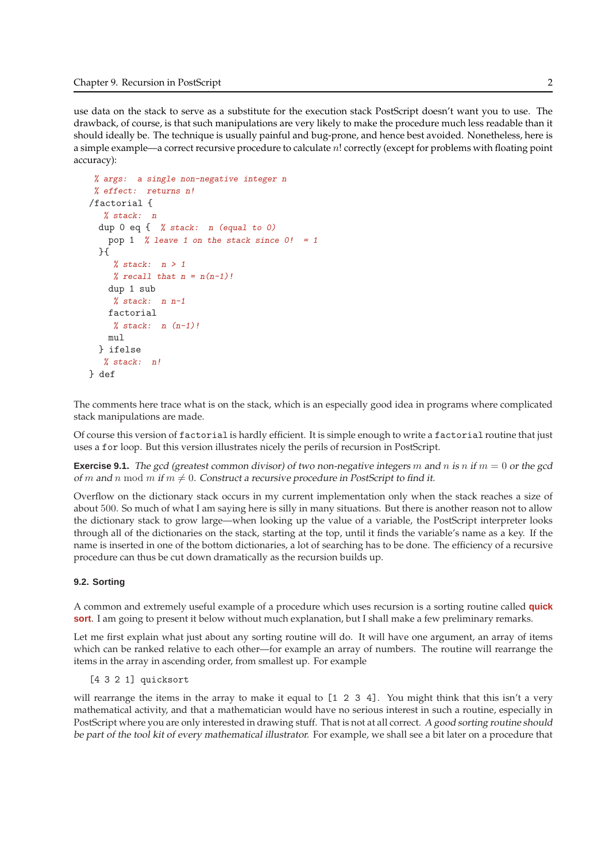use data on the stack to serve as a substitute for the execution stack PostScript doesn't want you to use. The drawback, of course, is that such manipulations are very likely to make the procedure much less readable than it should ideally be. The technique is usually painful and bug-prone, and hence best avoided. Nonetheless, here is a simple example—a correct recursive procedure to calculate n! correctly (except for problems with floating point accuracy):

```
% args: a single non-negative integer n
% effect: returns n!
/factorial {
  % stack: n
 dup 0 eq { % stack: n (equal to 0)
   pop 1 % leave 1 on the stack since 0! = 1}{
    % stack: n > 1% recall that n = n(n-1)!dup 1 sub
    % stack: n n-1factorial
    % stack: n(n-1)!mul
 } ifelse
  % stack: n!
} def
```
The comments here trace what is on the stack, which is an especially good idea in programs where complicated stack manipulations are made.

Of course this version of factorial is hardly efficient. It is simple enough to write a factorial routine that just uses a for loop. But this version illustrates nicely the perils of recursion in PostScript.

**Exercise 9.1.** The gcd (greatest common divisor) of two non-negative integers m and n is n if  $m = 0$  or the gcd of m and n mod m if  $m \neq 0$ . Construct a recursive procedure in PostScript to find it.

Overflow on the dictionary stack occurs in my current implementation only when the stack reaches a size of about 500. So much of what I am saying here is silly in many situations. But there is another reason not to allow the dictionary stack to grow large—when looking up the value of a variable, the PostScript interpreter looks through all of the dictionaries on the stack, starting at the top, until it finds the variable's name as a key. If the name is inserted in one of the bottom dictionaries, a lot of searching has to be done. The efficiency of a recursive procedure can thus be cut down dramatically as the recursion builds up.

## **9.2. Sorting**

A common and extremely useful example of a procedure which uses recursion is a sorting routine called **quick sort**. I am going to present it below without much explanation, but I shall make a few preliminary remarks.

Let me first explain what just about any sorting routine will do. It will have one argument, an array of items which can be ranked relative to each other—for example an array of numbers. The routine will rearrange the items in the array in ascending order, from smallest up. For example

```
[4 3 2 1] quicksort
```
will rearrange the items in the array to make it equal to [1 2 3 4]. You might think that this isn't a very mathematical activity, and that a mathematician would have no serious interest in such a routine, especially in PostScript where you are only interested in drawing stuff. That is not at all correct. <sup>A</sup> good sorting routine should be part of the tool kit of every mathematical illustrator. For example, we shall see a bit later on a procedure that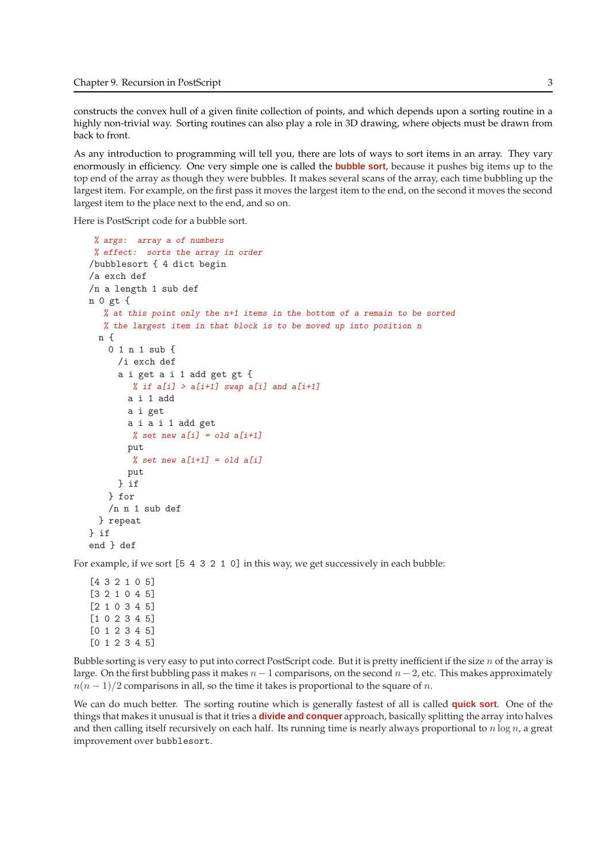constructs the convex hull of a given finite collection of points, and which depends upon a sorting routine in a highly non-trivial way. Sorting routines can also play a role in 3D drawing, where objects must be drawn from back to front.

As any introduction to programming will tell you, there are lots of ways to sort items in an array. They vary enormously in efficiency. One very simple one is called the **bubble sort**, because it pushes big items up to the top end of the array as though they were bubbles. It makes several scans of the array, each time bubbling up the largest item. For example, on the first pass it moves the largest item to the end, on the second it moves the second largest item to the place next to the end, and so on.

Here is PostScript code for a bubble sort.

```
% args: array a of numbers
 % effect: sorts the array in order
/bubblesort { 4 dict begin
/a exch def
/n a length 1 sub def
n 0 gt {
   % at this point only the n+1 items in the bottom of a remain to be sorted
   % the largest item in that block is to be moved up into position n
  n {
   0 1 n 1 sub {
      /i exch def
      a i get a i 1 add get gt {
        % if a[i] > a[i+1] swap a[i] and a[i+1]a i 1 add
       a i get
       a i a i 1 add get
        % set new a[i] = old a[i+1]put
        % set new a[i+1] = old a[i]put
      } if
    } for
   /n n 1 sub def
  } repeat
} if
end } def
```
For example, if we sort [5 4 3 2 1 0] in this way, we get successively in each bubble:

Bubble sorting is very easy to put into correct PostScript code. But it is pretty inefficient if the size  $n$  of the array is large. On the first bubbling pass it makes  $n - 1$  comparisons, on the second  $n - 2$ , etc. This makes approximately  $n(n-1)/2$  comparisons in all, so the time it takes is proportional to the square of n.

We can do much better. The sorting routine which is generally fastest of all is called **quick sort**. One of the things that makes it unusual is that it tries a **divide and conquer** approach, basically splitting the array into halves and then calling itself recursively on each half. Its running time is nearly always proportional to  $n \log n$ , a great improvement over bubblesort.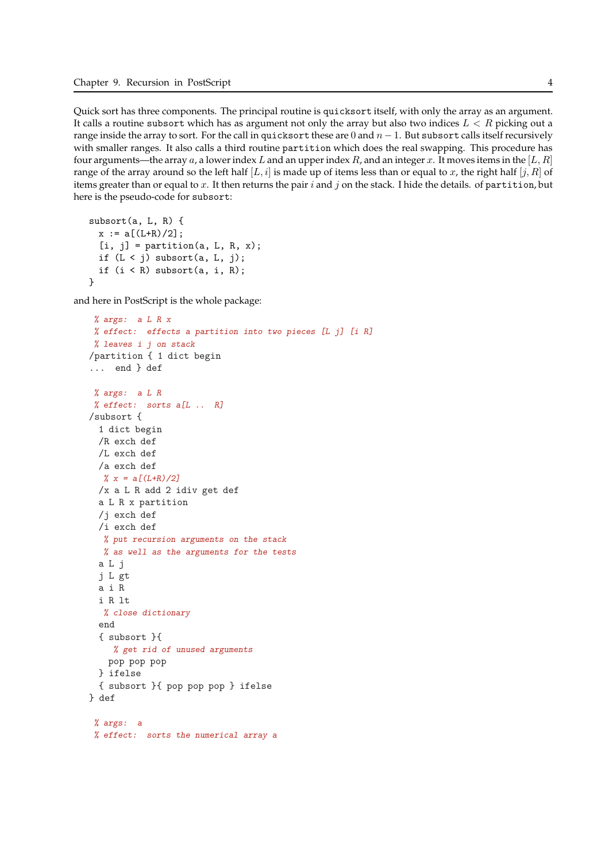Quick sort has three components. The principal routine is quicksort itself, with only the array as an argument. It calls a routine subsort which has as argument not only the array but also two indices  $L < R$  picking out a range inside the array to sort. For the call in quicksort these are 0 and  $n - 1$ . But subsort calls itself recursively with smaller ranges. It also calls a third routine partition which does the real swapping. This procedure has four arguments—the array a, a lower index L and an upper index R, and an integer x. It moves items in the [L, R] range of the array around so the left half  $[L, i]$  is made up of items less than or equal to x, the right half  $[j, R]$  of items greater than or equal to x. It then returns the pair  $i$  and  $j$  on the stack. I hide the details. of partition, but here is the pseudo-code for subsort:

```
subsort(a, L, R) {
 x := a[(L+R)/2];[i, j] = partition(a, L, R, x);
 if (L < j) subsort(a, L, j);
 if (i < R) subsort(a, i, R);
}
```
and here in PostScript is the whole package:

```
% args: a L R x
 % effect: effects a partition into two pieces [L j] [i R]
% leaves i j on stack
/partition { 1 dict begin
... end } def
% args: a L R
% effect: sorts a[L \ldots R]/subsort {
 1 dict begin
 /R exch def
 /L exch def
 /a exch def
  % x = a[(L+R)/2]/x a L R add 2 idiv get def
 a L R x partition
 /j exch def
 /i exch def
  % put recursion arguments on the stack
  % as well as the arguments for the tests
 a L j
 j L gt
 a i R
  i R lt
  % close dictionary
  end
  { subsort }{
    % get rid of unused arguments
   pop pop pop
 } ifelse
 { subsort }{ pop pop pop } ifelse
} def
 % args: a
 % effect: sorts the numerical array a
```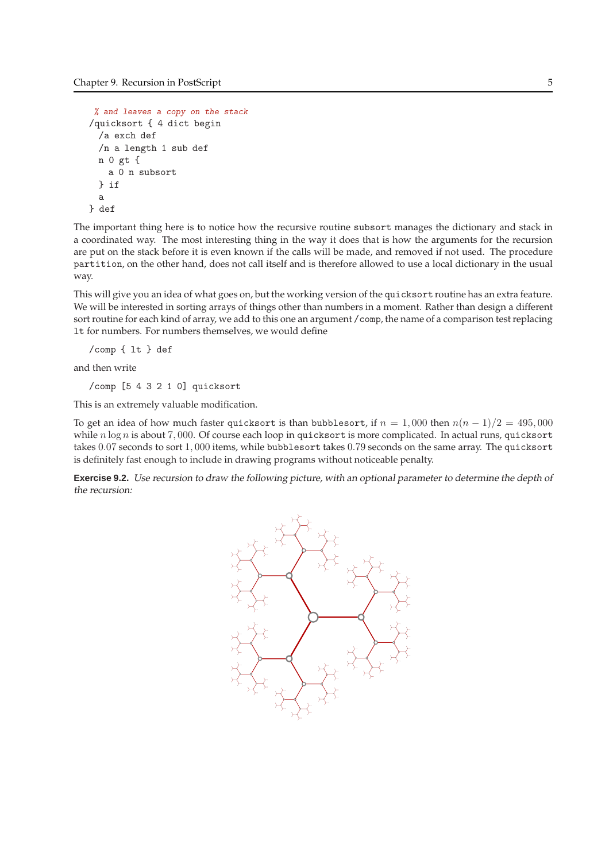```
% and leaves a copy on the stack
/quicksort { 4 dict begin
 /a exch def
 /n a length 1 sub def
 n 0 gt {
   a 0 n subsort
 } if
 a
} def
```
The important thing here is to notice how the recursive routine subsort manages the dictionary and stack in a coordinated way. The most interesting thing in the way it does that is how the arguments for the recursion are put on the stack before it is even known if the calls will be made, and removed if not used. The procedure partition, on the other hand, does not call itself and is therefore allowed to use a local dictionary in the usual way.

This will give you an idea of what goes on, but the working version of the quicksort routine has an extra feature. We will be interested in sorting arrays of things other than numbers in a moment. Rather than design a different sort routine for each kind of array, we add to this one an argument /comp, the name of a comparison test replacing lt for numbers. For numbers themselves, we would define

```
/comp { lt } def
```
and then write

/comp [5 4 3 2 1 0] quicksort

This is an extremely valuable modification.

To get an idea of how much faster quicksort is than bubblesort, if  $n = 1,000$  then  $n(n - 1)/2 = 495,000$ while  $n \log n$  is about 7,000. Of course each loop in quicksort is more complicated. In actual runs, quicksort takes 0.07 seconds to sort 1, 000 items, while bubblesort takes 0.79 seconds on the same array. The quicksort is definitely fast enough to include in drawing programs without noticeable penalty.

**Exercise 9.2.** Use recursion to draw the following picture, with an optional parameter to determine the depth of the recursion:

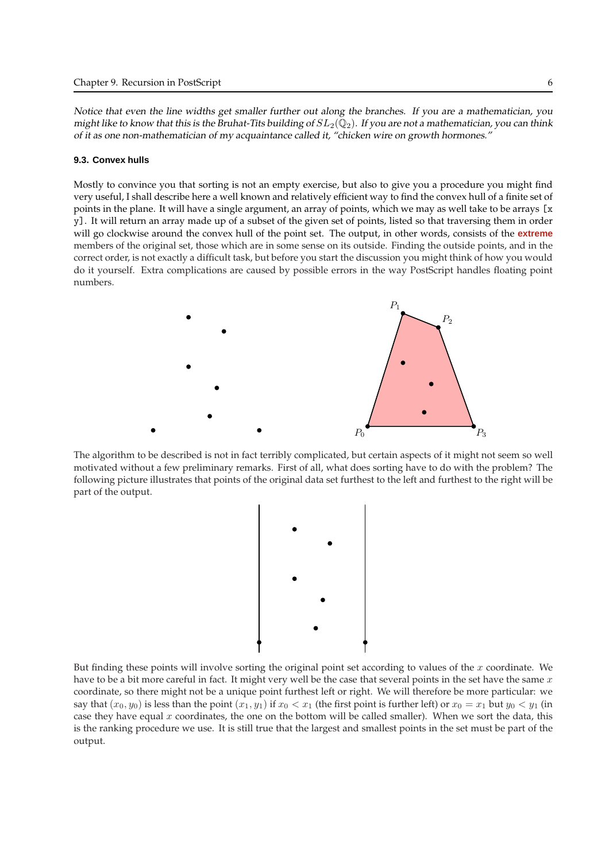Notice that even the line widths get smaller further out along the branches. If you are <sup>a</sup> mathematician, you might like to know that this is the Bruhat-Tits building of  $SL_2(\mathbb{Q}_2)$ . If you are not a mathematician, you can think of it as one non-mathematician of my acquaintance called it, "chicken wire on growth hormones."

### **9.3. Convex hulls**

Mostly to convince you that sorting is not an empty exercise, but also to give you a procedure you might find very useful, I shall describe here a well known and relatively efficient way to find the convex hull of a finite set of points in the plane. It will have a single argument, an array of points, which we may as well take to be arrays [x y]. It will return an array made up of a subset of the given set of points, listed so that traversing them in order will go clockwise around the convex hull of the point set. The output, in other words, consists of the **extreme** members of the original set, those which are in some sense on its outside. Finding the outside points, and in the correct order, is not exactly a difficult task, but before you start the discussion you might think of how you would do it yourself. Extra complications are caused by possible errors in the way PostScript handles floating point numbers.



The algorithm to be described is not in fact terribly complicated, but certain aspects of it might not seem so well motivated without a few preliminary remarks. First of all, what does sorting have to do with the problem? The following picture illustrates that points of the original data set furthest to the left and furthest to the right will be part of the output.



But finding these points will involve sorting the original point set according to values of the  $x$  coordinate. We have to be a bit more careful in fact. It might very well be the case that several points in the set have the same  $x$ coordinate, so there might not be a unique point furthest left or right. We will therefore be more particular: we say that  $(x_0, y_0)$  is less than the point  $(x_1, y_1)$  if  $x_0 < x_1$  (the first point is further left) or  $x_0 = x_1$  but  $y_0 < y_1$  (in case they have equal  $x$  coordinates, the one on the bottom will be called smaller). When we sort the data, this is the ranking procedure we use. It is still true that the largest and smallest points in the set must be part of the output.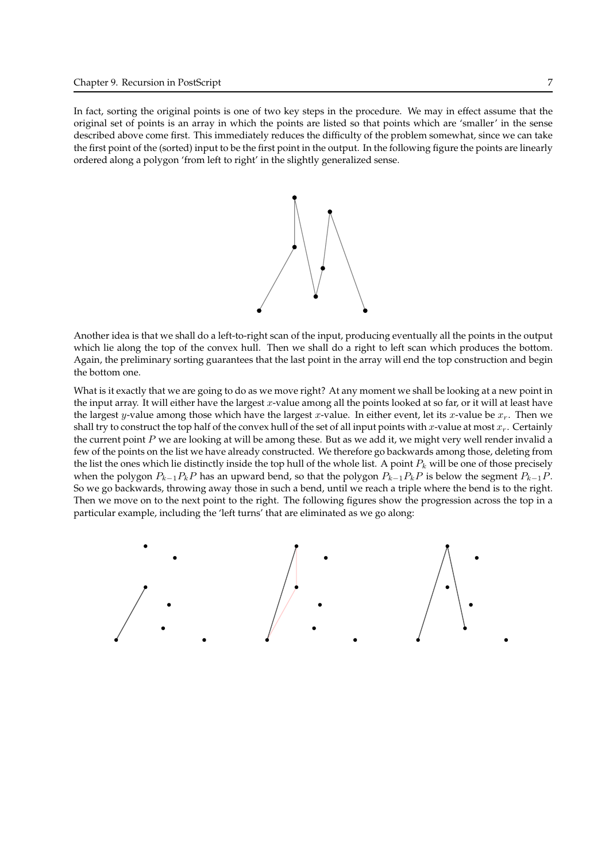In fact, sorting the original points is one of two key steps in the procedure. We may in effect assume that the original set of points is an array in which the points are listed so that points which are 'smaller' in the sense described above come first. This immediately reduces the difficulty of the problem somewhat, since we can take the first point of the (sorted) input to be the first point in the output. In the following figure the points are linearly ordered along a polygon 'from left to right' in the slightly generalized sense.



Another idea is that we shall do a left-to-right scan of the input, producing eventually all the points in the output which lie along the top of the convex hull. Then we shall do a right to left scan which produces the bottom. Again, the preliminary sorting guarantees that the last point in the array will end the top construction and begin the bottom one.

What is it exactly that we are going to do as we move right? At any moment we shall be looking at a new point in the input array. It will either have the largest  $x$ -value among all the points looked at so far, or it will at least have the largest y-value among those which have the largest x-value. In either event, let its x-value be  $x_r$ . Then we shall try to construct the top half of the convex hull of the set of all input points with x-value at most  $x_r$ . Certainly the current point  $P$  we are looking at will be among these. But as we add it, we might very well render invalid a few of the points on the list we have already constructed. We therefore go backwards among those, deleting from the list the ones which lie distinctly inside the top hull of the whole list. A point  $P_k$  will be one of those precisely when the polygon  $P_{k-1}P_kP$  has an upward bend, so that the polygon  $P_{k-1}P_kP$  is below the segment  $P_{k-1}P_kP$ . So we go backwards, throwing away those in such a bend, until we reach a triple where the bend is to the right. Then we move on to the next point to the right. The following figures show the progression across the top in a particular example, including the 'left turns' that are eliminated as we go along:

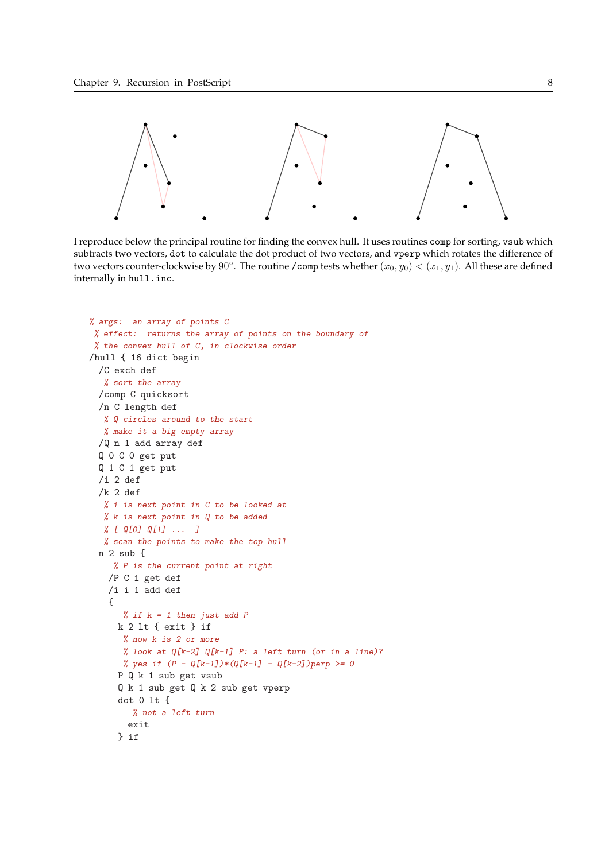

I reproduce below the principal routine for finding the convex hull. It uses routines comp for sorting, vsub which subtracts two vectors, dot to calculate the dot product of two vectors, and vperp which rotates the difference of two vectors counter-clockwise by 90°. The routine /comp tests whether  $(x_0, y_0) < (x_1, y_1)$ . All these are defined internally in hull.inc.

```
% args: an array of points C
% effect: returns the array of points on the boundary of
% the convex hull of C, in clockwise order
/hull { 16 dict begin
 /C exch def
  % sort the array
 /comp C quicksort
 /n C length def
  % Q circles around to the start
  % make it a big empty array
 /Q n 1 add array def
 Q 0 C 0 get put
 Q 1 C 1 get put
 /i 2 def
 /k 2 def
  % i is next point in C to be looked at
  % k is next point in Q to be added
  % [ Q[0] Q[1] ... ]
  % scan the points to make the top hull
 n 2 sub {
    % P is the current point at right
   /P C i get def
   /i i 1 add def
   {
      % if k = 1 then just add Pk 2 lt { exit } if
      % now k is 2 or more
      % look at Q[k-2] Q[k-1] P: a left turn (or in a line)?
      % yes if (P - Q[k-1]) * (Q[k-1] - Q[k-2]) perp >= 0
     P Q k 1 sub get vsub
     Q k 1 sub get Q k 2 sub get vperp
     dot 0 lt {
        % not a left turn
       exit
     } if
```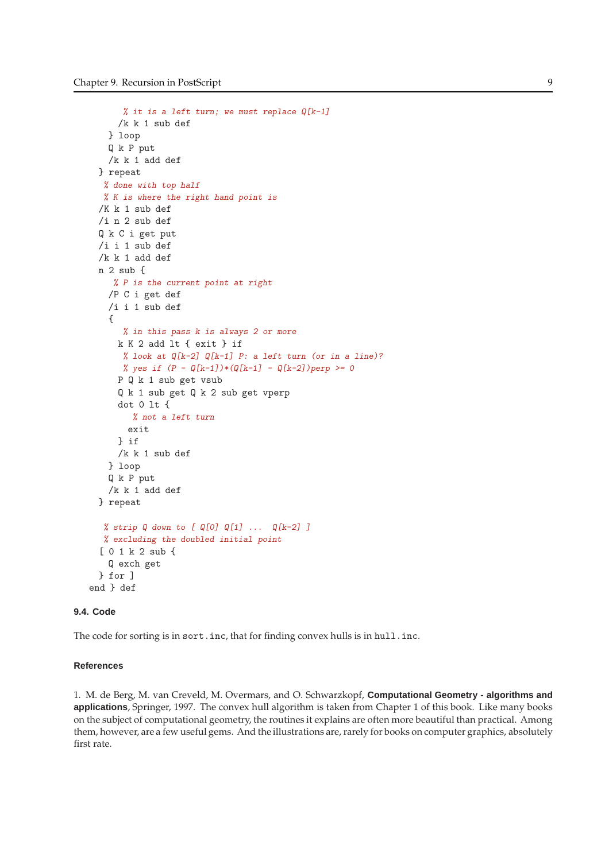```
% it is a left turn; we must replace Q[k-1]/k k 1 sub def
   } loop
   Q k P put
   /k k 1 add def
 } repeat
  % done with top half
  % K is where the right hand point is
 /K k 1 sub def
 /i n 2 sub def
 Q k C i get put
 /i i 1 sub def
 /k k 1 add def
 n 2 sub {
    % P is the current point at right
   /P C i get def
   /i i 1 sub def
   {
      % in this pass k is always 2 or more
     k K 2 add lt { exit } if
      % look at Q[k-2] Q[k-1] P: a left turn (or in a line)?
      % yes if (P - Q[k-1]) * (Q[k-1] - Q[k-2]) perp >= 0
     P Q k 1 sub get vsub
     Q k 1 sub get Q k 2 sub get vperp
     dot 0 lt {
        % not a left turn
       exit
     } if
     /k k 1 sub def
   } loop
   Q k P put
   /k k 1 add def
 } repeat
  % strip Q down to [Q[0] Q[1] \ldots Q[k-2] ]% excluding the doubled initial point
  [ 0 1 k 2 sub {
   Q exch get
 } for ]
end } def
```
# **9.4. Code**

The code for sorting is in sort.inc, that for finding convex hulls is in hull.inc.

### **References**

1. M. de Berg, M. van Creveld, M. Overmars, and O. Schwarzkopf, **Computational Geometry - algorithms and applications**, Springer, 1997. The convex hull algorithm is taken from Chapter 1 of this book. Like many books on the subject of computational geometry, the routines it explains are often more beautiful than practical. Among them, however, are a few useful gems. And the illustrations are, rarely for books on computer graphics, absolutely first rate.